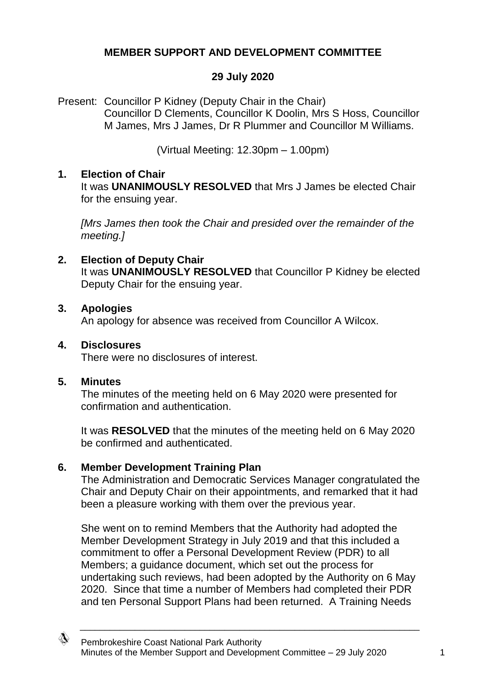# **MEMBER SUPPORT AND DEVELOPMENT COMMITTEE**

## **29 July 2020**

Present: Councillor P Kidney (Deputy Chair in the Chair) Councillor D Clements, Councillor K Doolin, Mrs S Hoss, Councillor M James, Mrs J James, Dr R Plummer and Councillor M Williams.

(Virtual Meeting: 12.30pm – 1.00pm)

### **1. Election of Chair**

It was **UNANIMOUSLY RESOLVED** that Mrs J James be elected Chair for the ensuing year.

*[Mrs James then took the Chair and presided over the remainder of the meeting.]*

## **2. Election of Deputy Chair**

It was **UNANIMOUSLY RESOLVED** that Councillor P Kidney be elected Deputy Chair for the ensuing year.

### **3. Apologies**

An apology for absence was received from Councillor A Wilcox.

### **4. Disclosures**

There were no disclosures of interest.

### **5. Minutes**

The minutes of the meeting held on 6 May 2020 were presented for confirmation and authentication.

It was **RESOLVED** that the minutes of the meeting held on 6 May 2020 be confirmed and authenticated.

### **6. Member Development Training Plan**

The Administration and Democratic Services Manager congratulated the Chair and Deputy Chair on their appointments, and remarked that it had been a pleasure working with them over the previous year.

She went on to remind Members that the Authority had adopted the Member Development Strategy in July 2019 and that this included a commitment to offer a Personal Development Review (PDR) to all Members; a guidance document, which set out the process for undertaking such reviews, had been adopted by the Authority on 6 May 2020. Since that time a number of Members had completed their PDR and ten Personal Support Plans had been returned. A Training Needs

\_\_\_\_\_\_\_\_\_\_\_\_\_\_\_\_\_\_\_\_\_\_\_\_\_\_\_\_\_\_\_\_\_\_\_\_\_\_\_\_\_\_\_\_\_\_\_\_\_\_\_\_\_\_\_\_\_\_\_\_\_\_\_\_\_\_\_\_